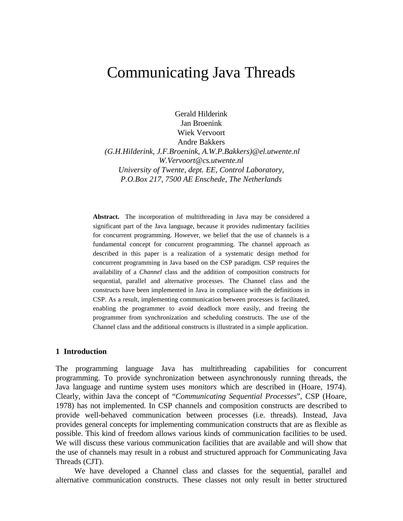# Communicating Java Threads

Gerald Hilderink Jan Broenink Wiek Vervoort Andre Bakkers  *(G.H.Hilderink, J.F.Broenink, A.W.P.Bakkers)@el.utwente.nl W.Vervoort@cs.utwente.nl University of Twente, dept. EE, Control Laboratory, P.O.Box 217, 7500 AE Enschede, The Netherlands*

**Abstract.** The incorporation of multithreading in Java may be considered a significant part of the Java language, because it provides rudimentary facilities for concurrent programming. However, we belief that the use of channels is a fundamental concept for concurrent programming. The channel approach as described in this paper is a realization of a systematic design method for concurrent programming in Java based on the CSP paradigm. CSP requires the availability of a *Channel* class and the addition of composition constructs for sequential, parallel and alternative processes. The Channel class and the constructs have been implemented in Java in compliance with the definitions in CSP. As a result, implementing communication between processes is facilitated, enabling the programmer to avoid deadlock more easily, and freeing the programmer from synchronization and scheduling constructs. The use of the Channel class and the additional constructs is illustrated in a simple application.

## **1 Introduction**

The programming language Java has multithreading capabilities for concurrent programming. To provide synchronization between asynchronously running threads, the Java language and runtime system uses *monitors* which are described in (Hoare, 1974). Clearly, within Java the concept of "*Communicating Sequential Processes*", CSP (Hoare, 1978) has not implemented. In CSP channels and composition constructs are described to provide well-behaved communication between processes (i.e. threads). Instead, Java provides general concepts for implementing communication constructs that are as flexible as possible. This kind of freedom allows various kinds of communication facilities to be used. We will discuss these various communication facilities that are available and will show that the use of channels may result in a robust and structured approach for Communicating Java Threads (CJT).

We have developed a Channel class and classes for the sequential, parallel and alternative communication constructs. These classes not only result in better structured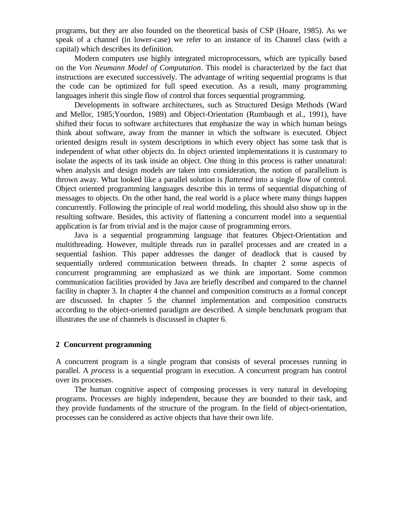programs, but they are also founded on the theoretical basis of CSP (Hoare, 1985). As we speak of a channel (in lower-case) we refer to an instance of its Channel class (with a capital) which describes its definition.

Modern computers use highly integrated microprocessors, which are typically based on the *Von Neumann Model of Computation*. This model is characterized by the fact that instructions are executed successively. The advantage of writing sequential programs is that the code can be optimized for full speed execution. As a result, many programming languages inherit this single flow of control that forces sequential programming.

Developments in software architectures, such as Structured Design Methods (Ward and Mellor, 1985;Yourdon, 1989) and Object-Orientation (Rumbaugh et al., 1991), have shifted their focus to software architectures that emphasize the way in which human beings think about software, away from the manner in which the software is executed. Object oriented designs result in system descriptions in which every object has some task that is independent of what other objects do. In object oriented implementations it is customary to isolate the aspects of its task inside an object. One thing in this process is rather unnatural: when analysis and design models are taken into consideration, the notion of parallelism is thrown away. What looked like a parallel solution is *flattened* into a single flow of control. Object oriented programming languages describe this in terms of sequential dispatching of messages to objects. On the other hand, the real world is a place where many things happen concurrently. Following the principle of real world modeling, this should also show up in the resulting software. Besides, this activity of flattening a concurrent model into a sequential application is far from trivial and is the major cause of programming errors.

Java is a sequential programming language that features Object-Orientation and multithreading. However, multiple threads run in parallel processes and are created in a sequential fashion. This paper addresses the danger of deadlock that is caused by sequentially ordered communication between threads. In chapter 2 some aspects of concurrent programming are emphasized as we think are important. Some common communication facilities provided by Java are briefly described and compared to the channel facility in chapter 3. In chapter 4 the channel and composition constructs as a formal concept are discussed. In chapter 5 the channel implementation and composition constructs according to the object-oriented paradigm are described. A simple benchmark program that illustrates the use of channels is discussed in chapter 6.

#### **2 Concurrent programming**

A concurrent program is a single program that consists of several processes running in parallel. A *process* is a sequential program in execution. A concurrent program has control over its processes.

The human cognitive aspect of composing processes is very natural in developing programs. Processes are highly independent, because they are bounded to their task, and they provide fundaments of the structure of the program. In the field of object-orientation, processes can be considered as active objects that have their own life.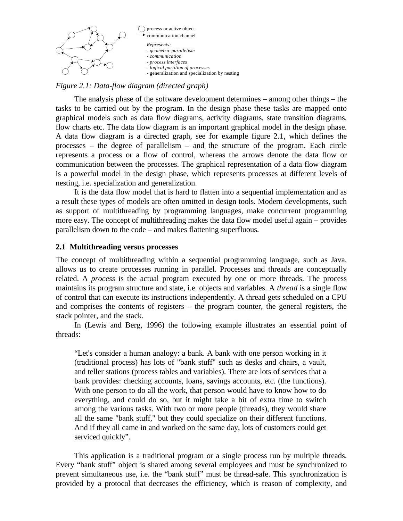

#### *Figure 2.1: Data-flow diagram (directed graph)*

The analysis phase of the software development determines – among other things – the tasks to be carried out by the program. In the design phase these tasks are mapped onto graphical models such as data flow diagrams, activity diagrams, state transition diagrams, flow charts etc. The data flow diagram is an important graphical model in the design phase. A data flow diagram is a directed graph, see for example figure 2.1, which defines the processes – the degree of parallelism – and the structure of the program. Each circle represents a process or a flow of control, whereas the arrows denote the data flow or communication between the processes. The graphical representation of a data flow diagram is a powerful model in the design phase, which represents processes at different levels of nesting, i.e. specialization and generalization.

It is the data flow model that is hard to flatten into a sequential implementation and as a result these types of models are often omitted in design tools. Modern developments, such as support of multithreading by programming languages, make concurrent programming more easy. The concept of multithreading makes the data flow model useful again – provides parallelism down to the code – and makes flattening superfluous.

### **2.1 Multithreading versus processes**

The concept of multithreading within a sequential programming language, such as Java, allows us to create processes running in parallel. Processes and threads are conceptually related. A *process* is the actual program executed by one or more threads. The process maintains its program structure and state, i.e. objects and variables. A *thread* is a single flow of control that can execute its instructions independently. A thread gets scheduled on a CPU and comprises the contents of registers – the program counter, the general registers, the stack pointer, and the stack.

In (Lewis and Berg, 1996) the following example illustrates an essential point of threads:

"Let's consider a human analogy: a bank. A bank with one person working in it (traditional process) has lots of "bank stuff" such as desks and chairs, a vault, and teller stations (process tables and variables). There are lots of services that a bank provides: checking accounts, loans, savings accounts, etc. (the functions). With one person to do all the work, that person would have to know how to do everything, and could do so, but it might take a bit of extra time to switch among the various tasks. With two or more people (threads), they would share all the same "bank stuff," but they could specialize on their different functions. And if they all came in and worked on the same day, lots of customers could get serviced quickly".

This application is a traditional program or a single process run by multiple threads. Every "bank stuff" object is shared among several employees and must be synchronized to prevent simultaneous use, i.e. the "bank stuff" must be thread-safe. This synchronization is provided by a protocol that decreases the efficiency, which is reason of complexity, and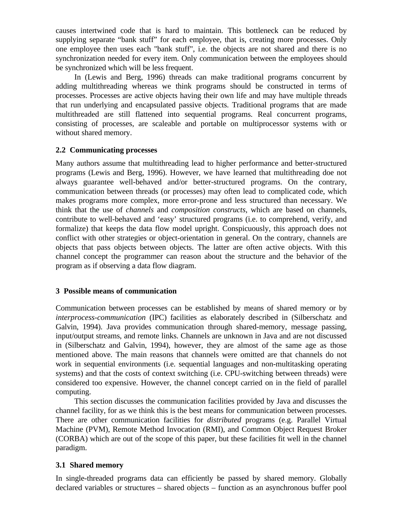causes intertwined code that is hard to maintain. This bottleneck can be reduced by supplying separate "bank stuff" for each employee, that is, creating more processes. Only one employee then uses each "bank stuff", i.e. the objects are not shared and there is no synchronization needed for every item. Only communication between the employees should be synchronized which will be less frequent.

In (Lewis and Berg, 1996) threads can make traditional programs concurrent by adding multithreading whereas we think programs should be constructed in terms of processes. Processes are active objects having their own life and may have multiple threads that run underlying and encapsulated passive objects. Traditional programs that are made multithreaded are still flattened into sequential programs. Real concurrent programs, consisting of processes, are scaleable and portable on multiprocessor systems with or without shared memory.

# **2.2 Communicating processes**

Many authors assume that multithreading lead to higher performance and better-structured programs (Lewis and Berg, 1996). However, we have learned that multithreading doe not always guarantee well-behaved and/or better-structured programs. On the contrary, communication between threads (or processes) may often lead to complicated code, which makes programs more complex, more error-prone and less structured than necessary. We think that the use of *channels* and *composition constructs*, which are based on channels, contribute to well-behaved and 'easy' structured programs (i.e. to comprehend, verify, and formalize) that keeps the data flow model upright. Conspicuously, this approach does not conflict with other strategies or object-orientation in general. On the contrary, channels are objects that pass objects between objects. The latter are often active objects. With this channel concept the programmer can reason about the structure and the behavior of the program as if observing a data flow diagram.

# **3 Possible means of communication**

Communication between processes can be established by means of shared memory or by *interprocess-communication* (IPC) facilities as elaborately described in (Silberschatz and Galvin, 1994). Java provides communication through shared-memory, message passing, input/output streams, and remote links. Channels are unknown in Java and are not discussed in (Silberschatz and Galvin, 1994), however, they are almost of the same age as those mentioned above. The main reasons that channels were omitted are that channels do not work in sequential environments (i.e. sequential languages and non-multitasking operating systems) and that the costs of context switching (i.e. CPU-switching between threads) were considered too expensive. However, the channel concept carried on in the field of parallel computing.

This section discusses the communication facilities provided by Java and discusses the channel facility, for as we think this is the best means for communication between processes. There are other communication facilities for *distributed* programs (e.g. Parallel Virtual Machine (PVM), Remote Method Invocation (RMI), and Common Object Request Broker (CORBA) which are out of the scope of this paper, but these facilities fit well in the channel paradigm.

# **3.1 Shared memory**

In single-threaded programs data can efficiently be passed by shared memory. Globally declared variables or structures – shared objects – function as an asynchronous buffer pool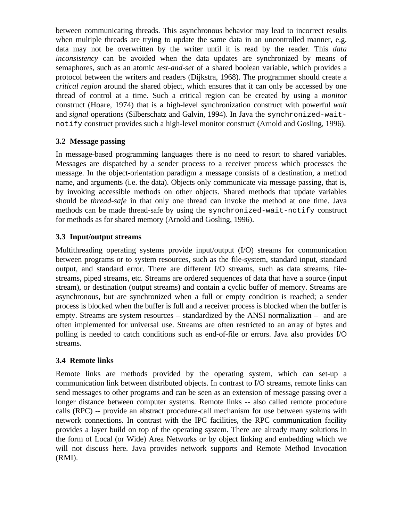between communicating threads. This asynchronous behavior may lead to incorrect results when multiple threads are trying to update the same data in an uncontrolled manner, e.g. data may not be overwritten by the writer until it is read by the reader. This *data inconsistency* can be avoided when the data updates are synchronized by means of semaphores, such as an atomic *test-and-set* of a shared boolean variable, which provides a protocol between the writers and readers (Dijkstra, 1968). The programmer should create a *critical region* around the shared object, which ensures that it can only be accessed by one thread of control at a time. Such a critical region can be created by using a *monitor* construct (Hoare, 1974) that is a high-level synchronization construct with powerful *wait* and *signal* operations (Silberschatz and Galvin, 1994). In Java the synchronized-waitnotify construct provides such a high-level monitor construct (Arnold and Gosling, 1996).

# **3.2 Message passing**

In message-based programming languages there is no need to resort to shared variables. Messages are dispatched by a sender process to a receiver process which processes the message. In the object-orientation paradigm a message consists of a destination, a method name, and arguments (i.e. the data). Objects only communicate via message passing, that is, by invoking accessible methods on other objects. Shared methods that update variables should be *thread-safe* in that only one thread can invoke the method at one time. Java methods can be made thread-safe by using the synchronized-wait-notify construct for methods as for shared memory (Arnold and Gosling, 1996).

# **3.3 Input/output streams**

Multithreading operating systems provide input/output (I/O) streams for communication between programs or to system resources, such as the file-system, standard input, standard output, and standard error. There are different I/O streams, such as data streams, filestreams, piped streams, etc. Streams are ordered sequences of data that have a source (input stream), or destination (output streams) and contain a cyclic buffer of memory. Streams are asynchronous, but are synchronized when a full or empty condition is reached; a sender process is blocked when the buffer is full and a receiver process is blocked when the buffer is empty. Streams are system resources – standardized by the ANSI normalization – and are often implemented for universal use. Streams are often restricted to an array of bytes and polling is needed to catch conditions such as end-of-file or errors. Java also provides I/O streams.

# **3.4 Remote links**

Remote links are methods provided by the operating system, which can set-up a communication link between distributed objects. In contrast to I/O streams, remote links can send messages to other programs and can be seen as an extension of message passing over a longer distance between computer systems. Remote links -- also called remote procedure calls (RPC) -- provide an abstract procedure-call mechanism for use between systems with network connections. In contrast with the IPC facilities, the RPC communication facility provides a layer build on top of the operating system. There are already many solutions in the form of Local (or Wide) Area Networks or by object linking and embedding which we will not discuss here. Java provides network supports and Remote Method Invocation (RMI).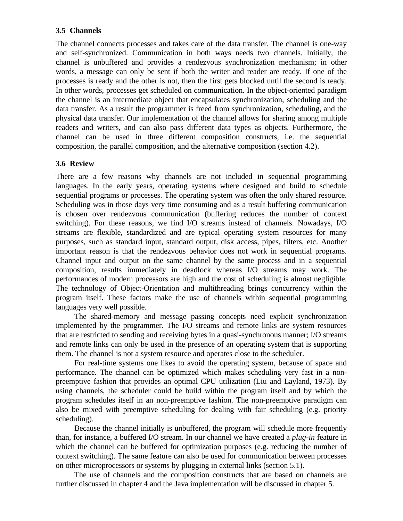# **3.5 Channels**

The channel connects processes and takes care of the data transfer. The channel is one-way and self-synchronized. Communication in both ways needs two channels. Initially, the channel is unbuffered and provides a rendezvous synchronization mechanism; in other words, a message can only be sent if both the writer and reader are ready. If one of the processes is ready and the other is not, then the first gets blocked until the second is ready. In other words, processes get scheduled on communication. In the object-oriented paradigm the channel is an intermediate object that encapsulates synchronization, scheduling and the data transfer. As a result the programmer is freed from synchronization, scheduling, and the physical data transfer. Our implementation of the channel allows for sharing among multiple readers and writers, and can also pass different data types as objects. Furthermore, the channel can be used in three different composition constructs, i.e. the sequential composition, the parallel composition, and the alternative composition (section 4.2).

# **3.6 Review**

There are a few reasons why channels are not included in sequential programming languages. In the early years, operating systems where designed and build to schedule sequential programs or processes. The operating system was often the only shared resource. Scheduling was in those days very time consuming and as a result buffering communication is chosen over rendezvous communication (buffering reduces the number of context switching). For these reasons, we find I/O streams instead of channels. Nowadays, I/O streams are flexible, standardized and are typical operating system resources for many purposes, such as standard input, standard output, disk access, pipes, filters, etc. Another important reason is that the rendezvous behavior does not work in sequential programs. Channel input and output on the same channel by the same process and in a sequential composition, results immediately in deadlock whereas I/O streams may work. The performances of modern processors are high and the cost of scheduling is almost negligible. The technology of Object-Orientation and multithreading brings concurrency within the program itself. These factors make the use of channels within sequential programming languages very well possible.

The shared-memory and message passing concepts need explicit synchronization implemented by the programmer. The I/O streams and remote links are system resources that are restricted to sending and receiving bytes in a quasi-synchronous manner; I/O streams and remote links can only be used in the presence of an operating system that is supporting them. The channel is not a system resource and operates close to the scheduler.

For real-time systems one likes to avoid the operating system, because of space and performance. The channel can be optimized which makes scheduling very fast in a nonpreemptive fashion that provides an optimal CPU utilization (Liu and Layland, 1973). By using channels, the scheduler could be build within the program itself and by which the program schedules itself in an non-preemptive fashion. The non-preemptive paradigm can also be mixed with preemptive scheduling for dealing with fair scheduling (e.g. priority scheduling).

Because the channel initially is unbuffered, the program will schedule more frequently than, for instance, a buffered I/O stream. In our channel we have created a *plug-in* feature in which the channel can be buffered for optimization purposes (e.g. reducing the number of context switching). The same feature can also be used for communication between processes on other microprocessors or systems by plugging in external links (section 5.1).

The use of channels and the composition constructs that are based on channels are further discussed in chapter 4 and the Java implementation will be discussed in chapter 5.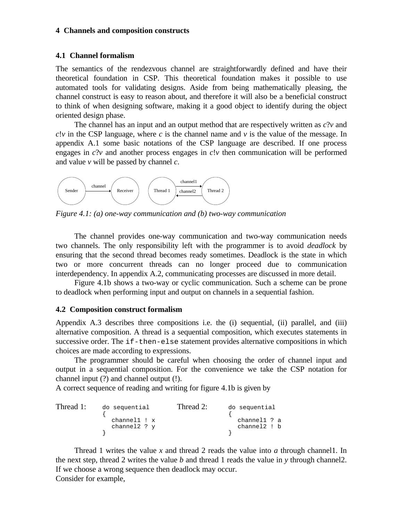#### **4 Channels and composition constructs**

#### **4.1 Channel formalism**

The semantics of the rendezvous channel are straightforwardly defined and have their theoretical foundation in CSP. This theoretical foundation makes it possible to use automated tools for validating designs. Aside from being mathematically pleasing, the channel construct is easy to reason about, and therefore it will also be a beneficial construct to think of when designing software, making it a good object to identify during the object oriented design phase.

The channel has an input and an output method that are respectively written as *c*?*v* and  $c!v$  in the CSP language, where *c* is the channel name and *v* is the value of the message. In appendix A.1 some basic notations of the CSP language are described. If one process engages in *c*?*v* and another process engages in *c*!*v* then communication will be performed and value *v* will be passed by channel *c*.



*Figure 4.1: (a) one-way communication and (b) two-way communication*

The channel provides one-way communication and two-way communication needs two channels. The only responsibility left with the programmer is to avoid *deadlock* by ensuring that the second thread becomes ready sometimes. Deadlock is the state in which two or more concurrent threads can no longer proceed due to communication interdependency. In appendix A.2, communicating processes are discussed in more detail.

Figure 4.1b shows a two-way or cyclic communication. Such a scheme can be prone to deadlock when performing input and output on channels in a sequential fashion.

# **4.2 Composition construct formalism**

Appendix A.3 describes three compositions i.e. the (i) sequential, (ii) parallel, and (iii) alternative composition. A thread is a sequential composition, which executes statements in successive order. The if-then-else statement provides alternative compositions in which choices are made according to expressions.

The programmer should be careful when choosing the order of channel input and output in a sequential composition. For the convenience we take the CSP notation for channel input (?) and channel output (!).

A correct sequence of reading and writing for figure 4.1b is given by

| Thread 1: | do sequential    | Thread 2: | do sequential |
|-----------|------------------|-----------|---------------|
|           |                  |           |               |
|           | $channel1$ : $x$ |           | channel1 ? a  |
|           | channel2 $?$ $y$ |           | channel2 ! b  |
|           |                  |           |               |

Thread 1 writes the value *x* and thread 2 reads the value into *a* through channel1. In the next step, thread 2 writes the value *b* and thread 1 reads the value in *y* through channel2. If we choose a wrong sequence then deadlock may occur. Consider for example,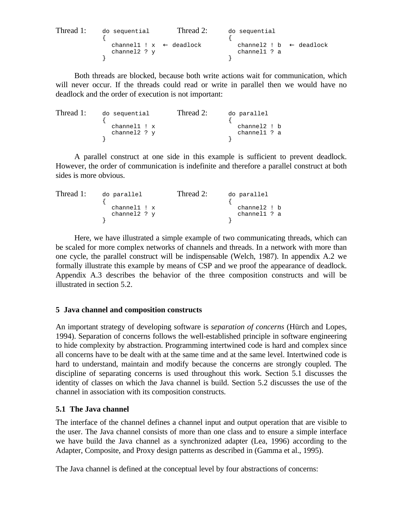Thread 1: do sequential Thread 2: do sequential  $\{$ channel1 !  $x \leftarrow$  deadlock channel2 ! b  $\leftarrow$  deadlock channel2 ? y channel1 ? a } }

Both threads are blocked, because both write actions wait for communication, which will never occur. If the threads could read or write in parallel then we would have no deadlock and the order of execution is not important:

Thread 1: do sequential Thread 2: do parallel  $\{$ channel1 ! x channel2 ! b<br>
channel2 ? y channel1 ? a channel1 ? a } }

A parallel construct at one side in this example is sufficient to prevent deadlock. However, the order of communication is indefinite and therefore a parallel construct at both sides is more obvious.

Thread 1: do parallel Thread 2: do parallel  $\{$ channel1 ! x channel2 ! b<br>
channel2 ? y channel1 ? a channel1 ? a  $\}$ } }

Here, we have illustrated a simple example of two communicating threads, which can be scaled for more complex networks of channels and threads. In a network with more than one cycle, the parallel construct will be indispensable (Welch, 1987). In appendix A.2 we formally illustrate this example by means of CSP and we proof the appearance of deadlock. Appendix A.3 describes the behavior of the three composition constructs and will be illustrated in section 5.2.

# **5 Java channel and composition constructs**

An important strategy of developing software is *separation of concerns* (Hürch and Lopes, 1994). Separation of concerns follows the well-established principle in software engineering to hide complexity by abstraction. Programming intertwined code is hard and complex since all concerns have to be dealt with at the same time and at the same level. Intertwined code is hard to understand, maintain and modify because the concerns are strongly coupled. The discipline of separating concerns is used throughout this work. Section 5.1 discusses the identity of classes on which the Java channel is build. Section 5.2 discusses the use of the channel in association with its composition constructs.

# **5.1 The Java channel**

The interface of the channel defines a channel input and output operation that are visible to the user. The Java channel consists of more than one class and to ensure a simple interface we have build the Java channel as a synchronized adapter (Lea, 1996) according to the Adapter, Composite, and Proxy design patterns as described in (Gamma et al., 1995).

The Java channel is defined at the conceptual level by four abstractions of concerns: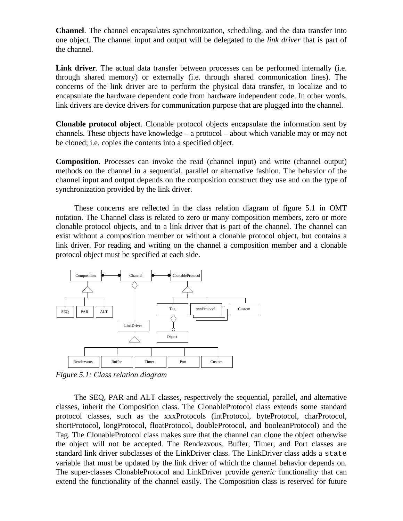**Channel**. The channel encapsulates synchronization, scheduling, and the data transfer into one object. The channel input and output will be delegated to the *link driver* that is part of the channel.

**Link driver**. The actual data transfer between processes can be performed internally (i.e. through shared memory) or externally (i.e. through shared communication lines). The concerns of the link driver are to perform the physical data transfer, to localize and to encapsulate the hardware dependent code from hardware independent code. In other words, link drivers are device drivers for communication purpose that are plugged into the channel.

**Clonable protocol object**. Clonable protocol objects encapsulate the information sent by channels. These objects have knowledge – a protocol – about which variable may or may not be cloned; i.e. copies the contents into a specified object.

**Composition**. Processes can invoke the read (channel input) and write (channel output) methods on the channel in a sequential, parallel or alternative fashion. The behavior of the channel input and output depends on the composition construct they use and on the type of synchronization provided by the link driver.

These concerns are reflected in the class relation diagram of figure 5.1 in OMT notation. The Channel class is related to zero or many composition members, zero or more clonable protocol objects, and to a link driver that is part of the channel. The channel can exist without a composition member or without a clonable protocol object, but contains a link driver. For reading and writing on the channel a composition member and a clonable protocol object must be specified at each side.



*Figure 5.1: Class relation diagram*

The SEQ, PAR and ALT classes, respectively the sequential, parallel, and alternative classes, inherit the Composition class. The ClonableProtocol class extends some standard protocol classes, such as the xxxProtocols (intProtocol, byteProtocol, charProtocol, shortProtocol, longProtocol, floatProtocol, doubleProtocol, and booleanProtocol) and the Tag. The ClonableProtocol class makes sure that the channel can clone the object otherwise the object will not be accepted. The Rendezvous, Buffer, Timer, and Port classes are standard link driver subclasses of the LinkDriver class. The LinkDriver class adds a state variable that must be updated by the link driver of which the channel behavior depends on. The super-classes ClonableProtocol and LinkDriver provide *generic* functionality that can extend the functionality of the channel easily. The Composition class is reserved for future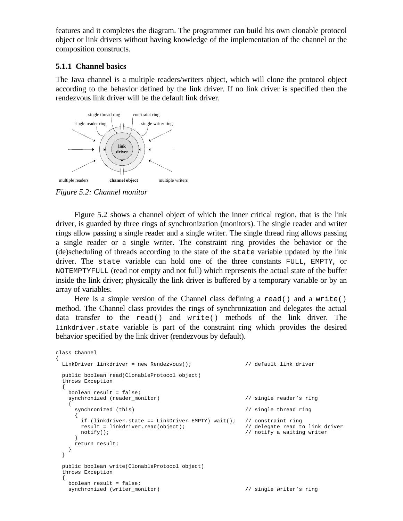features and it completes the diagram. The programmer can build his own clonable protocol object or link drivers without having knowledge of the implementation of the channel or the composition constructs.

# **5.1.1 Channel basics**

The Java channel is a multiple readers/writers object, which will clone the protocol object according to the behavior defined by the link driver. If no link driver is specified then the rendezvous link driver will be the default link driver.



*Figure 5.2: Channel monitor*

Figure 5.2 shows a channel object of which the inner critical region, that is the link driver, is guarded by three rings of synchronization (monitors). The single reader and writer rings allow passing a single reader and a single writer. The single thread ring allows passing a single reader or a single writer. The constraint ring provides the behavior or the (de)scheduling of threads according to the state of the state variable updated by the link driver. The state variable can hold one of the three constants FULL, EMPTY, or NOTEMPTYFULL (read not empty and not full) which represents the actual state of the buffer inside the link driver; physically the link driver is buffered by a temporary variable or by an array of variables.

Here is a simple version of the Channel class defining a  $read()$  and a  $write()$ method. The Channel class provides the rings of synchronization and delegates the actual data transfer to the read() and write() methods of the link driver. The linkdriver.state variable is part of the constraint ring which provides the desired behavior specified by the link driver (rendezvous by default).

```
class Channel
{
  LinkDriver linkdriver = new Rendezvous(); \frac{1}{2} default link driver
   public boolean read(ClonableProtocol object)
   throws Exception
 {
     boolean result = false;
    synchronized (reader_monitor) \qquad // single reader's ring
\{synchronized (this) \sqrt{2} // single thread ring
\left\{ \begin{array}{c} \end{array} \right.if (linkdriver.state == LinkDriver.EMPTY) wait(); // constraint ring<br>result = linkdriver.read(object); \frac{1}{2} // delegate read to link driver
        result = linkdriver.read(object);
       notify(); \sqrt{ } // notify a waiting writer
 }
       return result;
     }
   }
   public boolean write(ClonableProtocol object)
   throws Exception
 {
     boolean result = false;
    synchronized (writer_monitor) \qquad // single writer's ring
```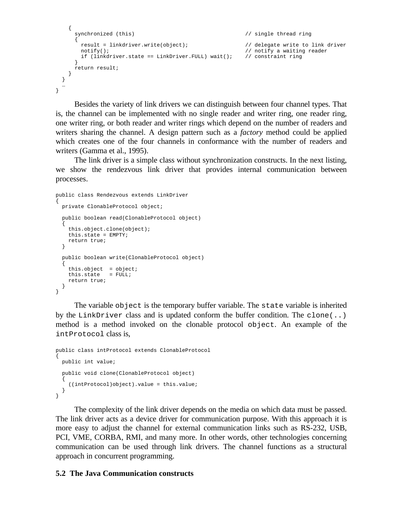```
\{synchronized (this) \sqrt{2} // single thread ring
\{ result = linkdriver.write(object); // delegate write to link driver
     notify(); \sqrt{2} // notify a waiting reader
      if (linkdriver.state == LinkDriver.FULL) wait(); // constraint ring
 }
     return result;
   }
  }
 …
}
```
Besides the variety of link drivers we can distinguish between four channel types. That is, the channel can be implemented with no single reader and writer ring, one reader ring, one writer ring, or both reader and writer rings which depend on the number of readers and writers sharing the channel. A design pattern such as a *factory* method could be applied which creates one of the four channels in conformance with the number of readers and writers (Gamma et al., 1995).

The link driver is a simple class without synchronization constructs. In the next listing, we show the rendezvous link driver that provides internal communication between processes.

```
public class Rendezvous extends LinkDriver
{
   private ClonableProtocol object;
   public boolean read(ClonableProtocol object)
 {
     this.object.clone(object);
    this.state = EMPTY;
    return true;
 }
   public boolean write(ClonableProtocol object)
 {
    this.object = object;
    this.state = FULL;
     return true;
   }
}
```
The variable object is the temporary buffer variable. The state variable is inherited by the LinkDriver class and is updated conform the buffer condition. The clone $(\ldots)$ method is a method invoked on the clonable protocol object. An example of the intProtocol class is,

```
public class intProtocol extends ClonableProtocol
{
   public int value;
   public void clone(ClonableProtocol object)
 {
     ((intProtocol)object).value = this.value;
   }
}
```
The complexity of the link driver depends on the media on which data must be passed. The link driver acts as a device driver for communication purpose. With this approach it is more easy to adjust the channel for external communication links such as RS-232, USB, PCI, VME, CORBA, RMI, and many more. In other words, other technologies concerning communication can be used through link drivers. The channel functions as a structural approach in concurrent programming.

#### **5.2 The Java Communication constructs**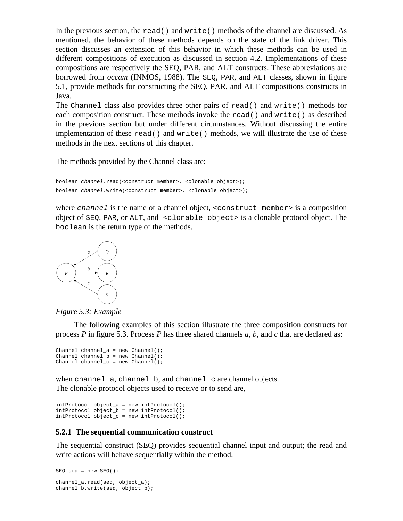In the previous section, the read() and write() methods of the channel are discussed. As mentioned, the behavior of these methods depends on the state of the link driver. This section discusses an extension of this behavior in which these methods can be used in different compositions of execution as discussed in section 4.2. Implementations of these compositions are respectively the SEQ, PAR, and ALT constructs. These abbreviations are borrowed from *occam* (INMOS, 1988). The SEQ, PAR, and ALT classes, shown in figure 5.1, provide methods for constructing the SEQ, PAR, and ALT compositions constructs in Java.

The Channel class also provides three other pairs of read() and write() methods for each composition construct. These methods invoke the read() and write() as described in the previous section but under different circumstances. Without discussing the entire implementation of these read() and write() methods, we will illustrate the use of these methods in the next sections of this chapter.

The methods provided by the Channel class are:

```
boolean channel.read(<construct member>, <clonable object>);
boolean channel.write(<construct member>, <clonable object>);
```
where *channel* is the name of a channel object, <construct member> is a composition object of SEQ, PAR, or ALT, and <clonable object> is a clonable protocol object. The boolean is the return type of the methods.



*Figure 5.3: Example*

The following examples of this section illustrate the three composition constructs for process *P* in figure 5.3. Process *P* has three shared channels *a*, *b*, and *c* that are declared as:

```
Channel channel_a = new Channel();
Channel channel_b = new Channel();
Channel channel_c = new Channel();
```
when channel\_a, channel\_b, and channel\_c are channel objects. The clonable protocol objects used to receive or to send are,

```
intProtocol object_a = new intProtocol();
intProtocol object_b = new intProtocol();
intProtocol object_c = new intProtocol();
```
# **5.2.1 The sequential communication construct**

The sequential construct (SEQ) provides sequential channel input and output; the read and write actions will behave sequentially within the method.

```
SEQ seq = new SEQ();
channel_a.read(seq, object_a);
channel_b.write(seq, object_b);
```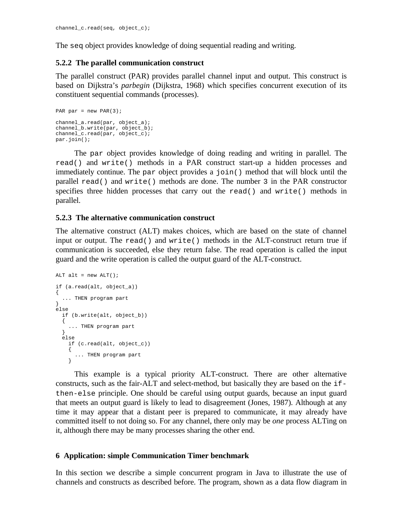The seq object provides knowledge of doing sequential reading and writing.

### **5.2.2 The parallel communication construct**

The parallel construct (PAR) provides parallel channel input and output. This construct is based on Dijkstra's *parbegin* (Dijkstra, 1968) which specifies concurrent execution of its constituent sequential commands (processes).

```
PAR par = new PAR(3);
channel_a.read(par, object_a);
channel_b.write(par, object_b);
channel_c.read(par, object_c);
par.join();
```
The par object provides knowledge of doing reading and writing in parallel. The read() and write() methods in a PAR construct start-up a hidden processes and immediately continue. The par object provides a join() method that will block until the parallel read() and write() methods are done. The number 3 in the PAR constructor specifies three hidden processes that carry out the read() and write() methods in parallel.

### **5.2.3 The alternative communication construct**

The alternative construct (ALT) makes choices, which are based on the state of channel input or output. The read() and write() methods in the ALT-construct return true if communication is succeeded, else they return false. The read operation is called the input guard and the write operation is called the output guard of the ALT-construct.

```
ALT alt = new ALT();
if (a.read(alt, object_a))
{
   ... THEN program part
}
else
   if (b.write(alt, object_b))
   {
    ... THEN program part
 }
   else
    if (c.read(alt, object_c))
\{ ... THEN program part
     }
```
This example is a typical priority ALT-construct. There are other alternative constructs, such as the fair-ALT and select-method, but basically they are based on the ifthen-else principle. One should be careful using output guards, because an input guard that meets an output guard is likely to lead to disagreement (Jones, 1987). Although at any time it may appear that a distant peer is prepared to communicate, it may already have committed itself to not doing so. For any channel, there only may be *one* process ALTing on it, although there may be many processes sharing the other end.

#### **6 Application: simple Communication Timer benchmark**

In this section we describe a simple concurrent program in Java to illustrate the use of channels and constructs as described before. The program, shown as a data flow diagram in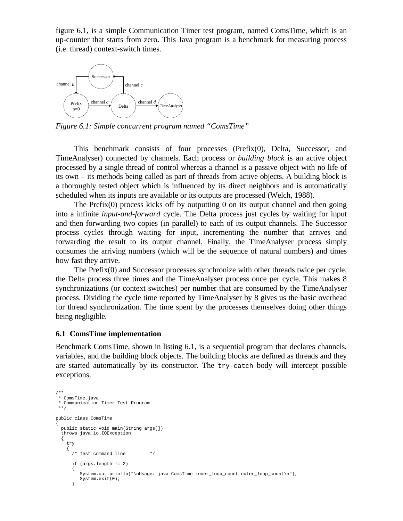figure 6.1, is a simple Communication Timer test program, named ComsTime, which is an up-counter that starts from zero. This Java program is a benchmark for measuring process (i.e. thread) context-switch times.



*Figure 6.1: Simple concurrent program named "ComsTime"*

This benchmark consists of four processes (Prefix(0), Delta, Successor, and TimeAnalyser) connected by channels. Each process or *building block* is an active object processed by a single thread of control whereas a channel is a passive object with no life of its own – its methods being called as part of threads from active objects. A building block is a thoroughly tested object which is influenced by its direct neighbors and is automatically scheduled when its inputs are available or its outputs are processed (Welch, 1988).

The Prefix $(0)$  process kicks off by outputting 0 on its output channel and then going into a infinite *input-and-forward* cycle. The Delta process just cycles by waiting for input and then forwarding two copies (in parallel) to each of its output channels. The Successor process cycles through waiting for input, incrementing the number that arrives and forwarding the result to its output channel. Finally, the TimeAnalyser process simply consumes the arriving numbers (which will be the sequence of natural numbers) and times how fast they arrive.

The Prefix(0) and Successor processes synchronize with other threads twice per cycle, the Delta process three times and the TimeAnalyser process once per cycle. This makes 8 synchronizations (or context switches) per number that are consumed by the TimeAnalyser process. Dividing the cycle time reported by TimeAnalyser by 8 gives us the basic overhead for thread synchronization. The time spent by the processes themselves doing other things being negligible.

#### **6.1 ComsTime implementation**

Benchmark ComsTime, shown in listing 6.1, is a sequential program that declares channels, variables, and the building block objects. The building blocks are defined as threads and they are started automatically by its constructor. The try-catch body will intercept possible exceptions.

```
/**
 * ComsTime.java
  * Communication Timer Test Program
 **/
public class ComsTime
{
   public static void main(String args[])
   throws java.io.IOException
 {
     try
\{ /* Test command line */
       if (args.length != 2)
       {
          System.out.println("\nUsage: java ComsTime inner_loop_count outer_loop_count\n");
          System.exit(0);
       }
```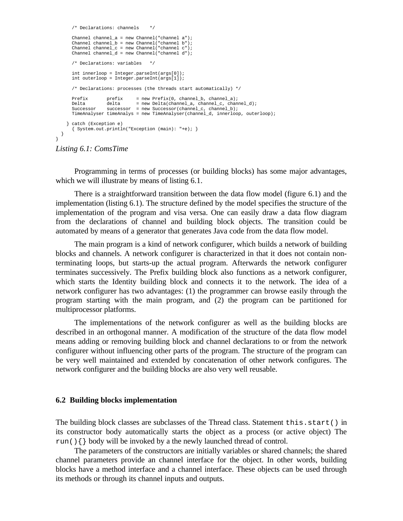```
/* Declarations: channels
      Channel channel_a = new Channel("channel a");
      Channel channel_b = new Channel("channel b");
     Channel channel c = new Channel("channel c"); Channel channel_d = new Channel("channel d");
       /* Declarations: variables */
      int innerloop = Integer.parseInt(args[0]);
      int outerloop = Integer.parseInt(args[1]);
       /* Declarations: processes (the threads start automatically) */
 Prefix prefix = new Prefix(0, channel_b, channel_a);
 Delta delta = new Delta(channel_a, channel_c, channel_d);
     Successor successor = new Successor(channel_c, channel_b);
      TimeAnalyser timeAnalys = new TimeAnalyser(channel_d, innerloop, outerloop);
    } catch (Exception e)
       { System.out.println("Exception (main): "+e); }
  }
```
*Listing 6.1: ComsTime*

}

Programming in terms of processes (or building blocks) has some major advantages, which we will illustrate by means of listing 6.1.

There is a straightforward transition between the data flow model (figure 6.1) and the implementation (listing 6.1). The structure defined by the model specifies the structure of the implementation of the program and visa versa. One can easily draw a data flow diagram from the declarations of channel and building block objects. The transition could be automated by means of a generator that generates Java code from the data flow model.

The main program is a kind of network configurer, which builds a network of building blocks and channels. A network configurer is characterized in that it does not contain nonterminating loops, but starts-up the actual program. Afterwards the network configurer terminates successively. The Prefix building block also functions as a network configurer, which starts the Identity building block and connects it to the network. The idea of a network configurer has two advantages: (1) the programmer can browse easily through the program starting with the main program, and (2) the program can be partitioned for multiprocessor platforms.

The implementations of the network configurer as well as the building blocks are described in an orthogonal manner. A modification of the structure of the data flow model means adding or removing building block and channel declarations to or from the network configurer without influencing other parts of the program. The structure of the program can be very well maintained and extended by concatenation of other network configures. The network configurer and the building blocks are also very well reusable.

#### **6.2 Building blocks implementation**

The building block classes are subclasses of the Thread class. Statement  $this.start()$  in its constructor body automatically starts the object as a process (or active object) The run(){} body will be invoked by a the newly launched thread of control.

The parameters of the constructors are initially variables or shared channels; the shared channel parameters provide an channel interface for the object. In other words, building blocks have a method interface and a channel interface. These objects can be used through its methods or through its channel inputs and outputs.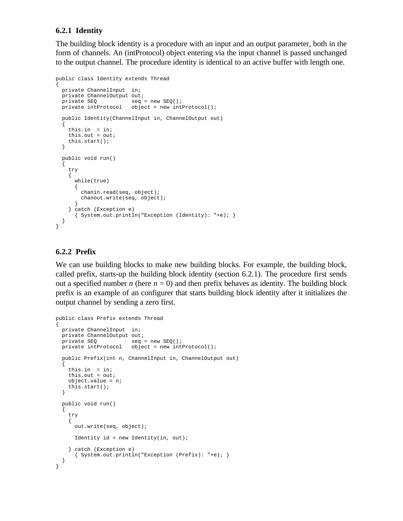# **6.2.1 Identity**

The building block identity is a procedure with an input and an output parameter, both in the form of channels. An (intProtocol) object entering via the input channel is passed unchanged to the output channel. The procedure identity is identical to an active buffer with length one.

```
public class Identity extends Thread
{
   private ChannelInput in;
   private ChannelOutput out;
  private SEQ seq = new SEQ();<br>private intProtocol object = new int
                         object = new intProtocol();
   public Identity(ChannelInput in, ChannelOutput out)
 {
     this.in = in;
    this.out = out;
     this.start();
   }
   public void run()
   {
     try
     {
       while(true)
        {
         chanin.read(seq, object);
         chanout.write(seq, object);
 }
     } catch (Exception e)
       { System.out.println("Exception (Identity): "+e); }
   }
}
```
# **6.2.2 Prefix**

We can use building blocks to make new building blocks. For example, the building block, called prefix, starts-up the building block identity (section 6.2.1). The procedure first sends out a specified number *n* (here  $n = 0$ ) and then prefix behaves as identity. The building block prefix is an example of an configurer that starts building block identity after it initializes the output channel by sending a zero first.

```
public class Prefix extends Thread
{
   private ChannelInput in;
  private ChannelOutput out;
private SEQ seq = new SEQ();
 private intProtocol object = new intProtocol();
   public Prefix(int n, ChannelInput in, ChannelOutput out)
 {
     this.in = in;
    this.out = out;
     object.value = n;
     this.start();
 }
   public void run()
 {
     try
     {
       out.write(seq, object);
      Identity id = new Identity(in, out); } catch (Exception e)
       { System.out.println("Exception (Prefix): "+e); }
   }
}
```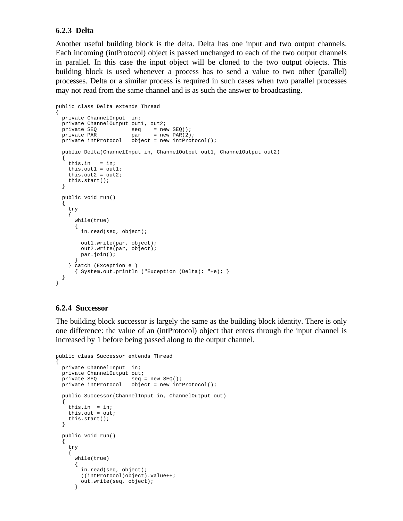## **6.2.3 Delta**

Another useful building block is the delta. Delta has one input and two output channels. Each incoming (intProtocol) object is passed unchanged to each of the two output channels in parallel. In this case the input object will be cloned to the two output objects. This building block is used whenever a process has to send a value to two other (parallel) processes. Delta or a similar process is required in such cases when two parallel processes may not read from the same channel and is as such the answer to broadcasting.

```
public class Delta extends Thread
{
   private ChannelInput in;
  private ChannelOutput out1, out2;
 private SEQ seq = new SEQ();<br>private PAR par = new PAR(2);
private PAR part = new PAR(2);
 private intProtocol object = new intProtocol();
   public Delta(ChannelInput in, ChannelOutput out1, ChannelOutput out2)
 {
     this.in = in;
    this.out1 = out1;
    this.out2 = out2;
     this.start();
   }
   public void run()
 {
     try
\{ while(true)
\{ in.read(seq, object);
         out1.write(par, object);
        out2.write(par, object);
        par.join();
 }
     } catch (Exception e )
       { System.out.println ("Exception (Delta): "+e); }
   }
}
```
#### **6.2.4 Successor**

The building block successor is largely the same as the building block identity. There is only one difference: the value of an (intProtocol) object that enters through the input channel is increased by 1 before being passed along to the output channel.

```
public class Successor extends Thread
{
   private ChannelInput in;
  private ChannelOutput out;<br>private SEQ seq =
                         seq = new SEQ();
  private intProtocol object = new intProtocol();
   public Successor(ChannelInput in, ChannelOutput out)
   {
     this.in = in;
     this.out = out;
     this.start();
   }
   public void run()
 {
     try
     {
       while(true)
\{ in.read(seq, object);
         ((intProtocol)object).value++;
         out.write(seq, object);
       }
```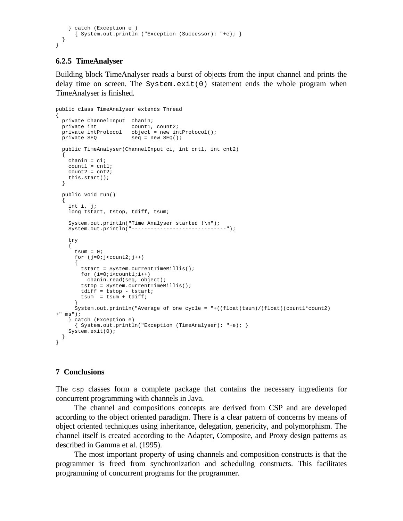```
 } catch (Exception e )
       { System.out.println ("Exception (Successor): "+e); }
  }
}
```
# **6.2.5 TimeAnalyser**

Building block TimeAnalyser reads a burst of objects from the input channel and prints the delay time on screen. The System.exit(0) statement ends the whole program when TimeAnalyser is finished.

```
public class TimeAnalyser extends Thread
{
 private ChannelInput chanin;<br>private int count1,
private int count1, count2;
 private intProtocol object = new intProtocol();
private SEQ seq = new SEQ();
   public TimeAnalyser(ChannelInput ci, int cnt1, int cnt2)
 {
    chain = ci;count1 = ent1;count2 = cnt2;
    this.start();
 }
   public void run()
 {
     int i, j;
   long tstart, tstop, tdiff, tsum;
     System.out.println("Time Analyser started !\n");
     System.out.println("------------------------------");
     try
     {
      tsum = 0;for (j=0; j<count2; j++)\{ tstart = System.currentTimeMillis();
       for (i=0,i=constant,i++) chanin.read(seq, object);
         tstop = System.currentTimeMillis();
         tdiff = tstop - tstart;
        tsum = tsum + tdiff; }
      System.out.println("Average of one cycle = "+((float)tsum)/(float)(count1*count2)
+" \text{ms}");
    } catch (Exception e)
       { System.out.println("Exception (TimeAnalyser): "+e); }
     System.exit(0);
   }
}
```
#### **7 Conclusions**

The csp classes form a complete package that contains the necessary ingredients for concurrent programming with channels in Java.

The channel and compositions concepts are derived from CSP and are developed according to the object oriented paradigm. There is a clear pattern of concerns by means of object oriented techniques using inheritance, delegation, genericity, and polymorphism. The channel itself is created according to the Adapter, Composite, and Proxy design patterns as described in Gamma et al. (1995).

The most important property of using channels and composition constructs is that the programmer is freed from synchronization and scheduling constructs. This facilitates programming of concurrent programs for the programmer.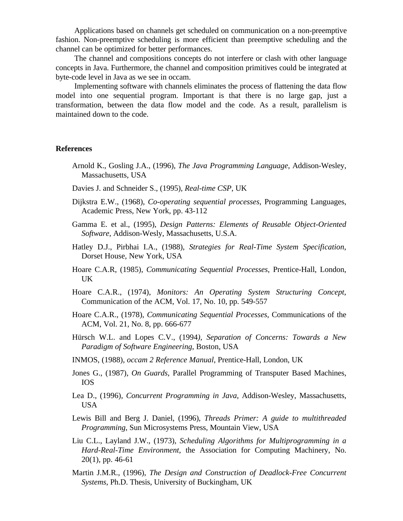Applications based on channels get scheduled on communication on a non-preemptive fashion. Non-preemptive scheduling is more efficient than preemptive scheduling and the channel can be optimized for better performances.

The channel and compositions concepts do not interfere or clash with other language concepts in Java. Furthermore, the channel and composition primitives could be integrated at byte-code level in Java as we see in occam.

Implementing software with channels eliminates the process of flattening the data flow model into one sequential program. Important is that there is no large gap, just a transformation, between the data flow model and the code. As a result, parallelism is maintained down to the code.

#### **References**

- Arnold K., Gosling J.A., (1996), *The Java Programming Language*, Addison-Wesley, Massachusetts, USA
- Davies J. and Schneider S., (1995), *Real-time CSP*, UK
- Dijkstra E.W., (1968), *Co-operating sequential processes*, Programming Languages, Academic Press, New York, pp. 43-112
- Gamma E. et al., (1995), *Design Patterns: Elements of Reusable Object-Oriented Software*, Addison-Wesly, Massachusetts, U.S.A.
- Hatley D.J., Pirbhai I.A., (1988), *Strategies for Real-Time System Specification*, Dorset House, New York, USA
- Hoare C.A.R, (1985), *Communicating Sequential Processes*, Prentice-Hall, London, UK
- Hoare C.A.R., (1974), *Monitors: An Operating System Structuring Concept*, Communication of the ACM, Vol. 17, No. 10, pp. 549-557
- Hoare C.A.R., (1978), *Communicating Sequential Processes*, Communications of the ACM, Vol. 21, No. 8, pp. 666-677
- Hürsch W.L. and Lopes C.V., (1994*), Separation of Concerns: Towards a New Paradigm of Software Engineering*, Boston, USA
- INMOS, (1988), *occam 2 Reference Manual*, Prentice-Hall, London, UK
- Jones G., (1987), *On Guards*, Parallel Programming of Transputer Based Machines, IOS
- Lea D., (1996), *Concurrent Programming in Java*, Addison-Wesley, Massachusetts, USA
- Lewis Bill and Berg J. Daniel, (1996), *Threads Primer: A guide to multithreaded Programming*, Sun Microsystems Press, Mountain View, USA
- Liu C.L., Layland J.W., (1973), *Scheduling Algorithms for Multiprogramming in a Hard-Real-Time Environment*, the Association for Computing Machinery, No. 20(1), pp. 46-61
- Martin J.M.R., (1996), *The Design and Construction of Deadlock-Free Concurrent Systems*, Ph.D. Thesis, University of Buckingham, UK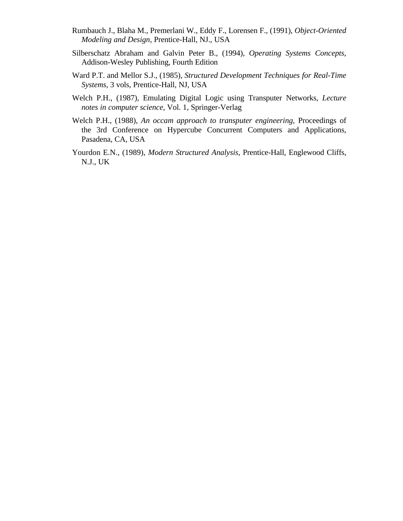- Rumbauch J., Blaha M., Premerlani W., Eddy F., Lorensen F., (1991), *Object-Oriented Modeling and Design*, Prentice-Hall, NJ., USA
- Silberschatz Abraham and Galvin Peter B., (1994), *Operating Systems Concepts*, Addison-Wesley Publishing, Fourth Edition
- Ward P.T. and Mellor S.J., (1985), *Structured Development Techniques for Real-Time Systems*, 3 vols, Prentice-Hall, NJ, USA
- Welch P.H., (1987), Emulating Digital Logic using Transputer Networks, *Lecture notes in computer science*, Vol. 1, Springer-Verlag
- Welch P.H., (1988), *An occam approach to transputer engineering*, Proceedings of the 3rd Conference on Hypercube Concurrent Computers and Applications, Pasadena, CA, USA
- Yourdon E.N., (1989), *Modern Structured Analysis*, Prentice-Hall, Englewood Cliffs, N.J., UK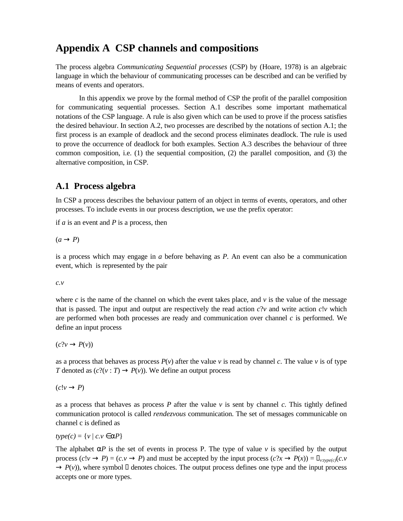# **Appendix A CSP channels and compositions**

The process algebra *Communicating Sequential processes* (CSP) by (Hoare, 1978) is an algebraic language in which the behaviour of communicating processes can be described and can be verified by means of events and operators.

In this appendix we prove by the formal method of CSP the profit of the parallel composition for communicating sequential processes. Section A.1 describes some important mathematical notations of the CSP language. A rule is also given which can be used to prove if the process satisfies the desired behaviour. In section A.2, two processes are described by the notations of section A.1; the first process is an example of deadlock and the second process eliminates deadlock. The rule is used to prove the occurrence of deadlock for both examples. Section A.3 describes the behaviour of three common composition, i.e. (1) the sequential composition, (2) the parallel composition, and (3) the alternative composition, in CSP.

# **A.1 Process algebra**

In CSP a process describes the behaviour pattern of an object in terms of events, operators, and other processes. To include events in our process description, we use the prefix operator:

if *a* is an event and *P* is a process, then

 $(a \rightarrow P)$ 

is a process which may engage in *a* before behaving as *P*. An event can also be a communication event, which is represented by the pair

*c.v*

where  $c$  is the name of the channel on which the event takes place, and  $v$  is the value of the message that is passed. The input and output are respectively the read action  $c$ ?*v* and write action  $c$ !*v* which are performed when both processes are ready and communication over channel *c* is performed. We define an input process

 $(c?v \rightarrow P(v))$ 

as a process that behaves as process  $P(v)$  after the value v is read by channel c. The value v is of type *T* denoted as  $(c?(\nu : T) \rightarrow P(\nu))$ . We define an output process

 $(c!v \rightarrow P)$ 

as a process that behaves as process *P* after the value *v* is sent by channel *c*. This tightly defined communication protocol is called *rendezvous* communication. The set of messages communicable on channel c is defined as

$$
type(c) = \{v \mid c.v \in aP\}
$$

The alphabet  $aP$  is the set of events in process P. The type of value  $\nu$  is specified by the output process  $(c!v \rightarrow P) = (c.v \rightarrow P)$  and must be accepted by the input process  $(c?x \rightarrow P(x)) = v: type(c)$  $(c.v \rightarrow P) = (c.v \rightarrow P)$  $\rightarrow$  *P*(*v*)), where symbol denotes choices. The output process defines one type and the input process accepts one or more types.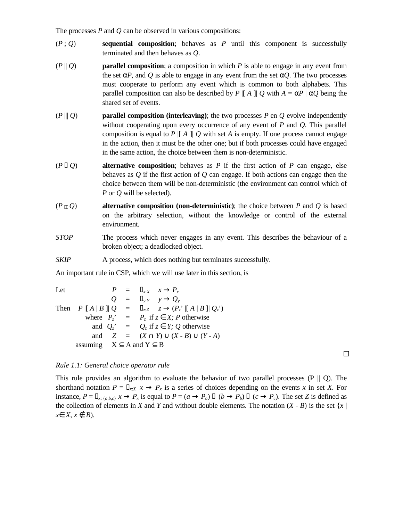The processes *P* and *Q* can be observed in various compositions:

- (*P* ; *Q*) **sequential composition**; behaves as *P* until this component is successfully terminated and then behaves as *Q*.
- (*P* || *Q*) **parallel composition**; a composition in which *P* is able to engage in any event from the set  $\alpha P$ , and Q is able to engage in any event from the set  $\alpha Q$ . The two processes must cooperate to perform any event which is common to both alphabets. This parallel composition can also be described by *P* |[ *A* ]| *Q* with  $A = \alpha P \mid \alpha Q$  being the shared set of events.
- (*P* ||| *Q*) **parallel composition (interleaving)**; the two processes *P* en *Q* evolve independently without cooperating upon every occurrence of any event of *P* and *Q*. This parallel composition is equal to  $P \parallel A \parallel Q$  with set *A* is empty. If one process cannot engage in the action, then it must be the other one; but if both processes could have engaged in the same action, the choice between them is non-deterministic.
- (*P Q*) **alternative composition**; behaves as *P* if the first action of *P* can engage, else behaves as *Q* if the first action of *Q* can engage. If both actions can engage then the choice between them will be non-deterministic (the environment can control which of *P* or *Q* will be selected).
- $(P \cap Q)$  **alternative composition (non-deterministic)**; the choice between *P* and *Q* is based on the arbitrary selection, without the knowledge or control of the external environment.
- *STOP* The process which never engages in any event. This describes the behaviour of a broken object; a deadlocked object.
- *SKIP* A process, which does nothing but terminates successfully.

An important rule in CSP, which we will use later in this section, is

Let  $P = x \cdot x \rightarrow P_x$  $Q = y:Y \to Q_y$ Then  $P \parallel A \parallel B \parallel Q = zz \qquad z \rightarrow (P_z \parallel A \parallel B \parallel Q_z)$ where  $P_z' = P_z$  if  $z \in X$ ; *P* otherwise and  $Q_z' = Q_z$  if  $z \in Y$ ; Q otherwise and  $Z = (X \cap Y) \cup (X - B) \cup (Y - A)$ assuming  $X \subseteq A$  and  $Y \subseteq B$ 

*Rule 1.1: General choice operator rule*

This rule provides an algorithm to evaluate the behavior of two parallel processes  $(P \parallel Q)$ . The shorthand notation  $P = x \times x \rightarrow P_x$  is a series of choices depending on the events *x* in set *X*. For instance,  $P = x_{\{a,b,c\}} x \rightarrow P_x$  is equal to  $P = (a \rightarrow P_a)$   $(b \rightarrow P_b)$   $(c \rightarrow P_c)$ . The set Z is defined as the collection of elements in *X* and *Y* and without double elements. The notation  $(X - B)$  is the set  $\{x \mid$ *x*∈ *X*, *x* ∉ *B*).

 $\Box$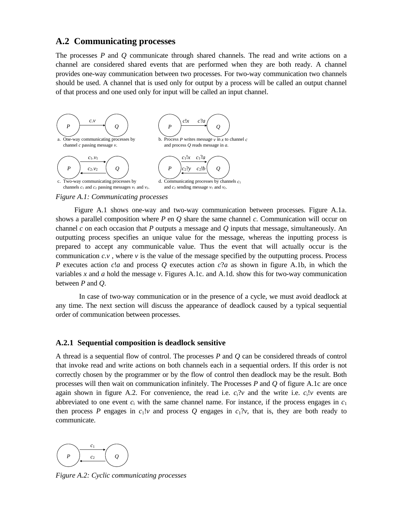# **A.2 Communicating processes**

The processes *P* and *Q* communicate through shared channels. The read and write actions on a channel are considered shared events that are performed when they are both ready. A channel provides one-way communication between two processes. For two-way communication two channels should be used. A channel that is used only for output by a process will be called an output channel of that process and one used only for input will be called an input channel.



#### *Figure A.1: Communicating processes*

Figure A.1 shows one-way and two-way communication between processes. Figure A.1a. shows a parallel composition where *P* en *Q* share the same channel *c*. Communication will occur on channel *c* on each occasion that *P* outputs a message and *Q* inputs that message, simultaneously. An outputting process specifies an unique value for the message, whereas the inputting process is prepared to accept any communicable value. Thus the event that will actually occur is the communication  $c.v$ , where  $v$  is the value of the message specified by the outputting process. Process *P* executes action *c*!*a* and process *Q* executes action *c*?*a* as shown in figure A.1b, in which the variables *x* and *a* hold the message *v*. Figures A.1c. and A.1d. show this for two-way communication between *P* and *Q*.

In case of two-way communication or in the presence of a cycle, we must avoid deadlock at any time. The next section will discuss the appearance of deadlock caused by a typical sequential order of communication between processes.

#### **A.2.1 Sequential composition is deadlock sensitive**

A thread is a sequential flow of control. The processes *P* and *Q* can be considered threads of control that invoke read and write actions on both channels each in a sequential orders. If this order is not correctly chosen by the programmer or by the flow of control then deadlock may be the result. Both processes will then wait on communication infinitely. The Processes *P* and *Q* of figure A.1c are once again shown in figure A.2. For convenience, the read i.e.  $c<sub>i</sub>$ ?*v* and the write i.e.  $c<sub>i</sub>$ !*v* events are abbreviated to one event  $c_i$  with the same channel name. For instance, if the process engages in  $c_1$ then process *P* engages in  $c_1!v$  and process *Q* engages in  $c_1?v$ , that is, they are both ready to communicate.



*Figure A.2: Cyclic communicating processes*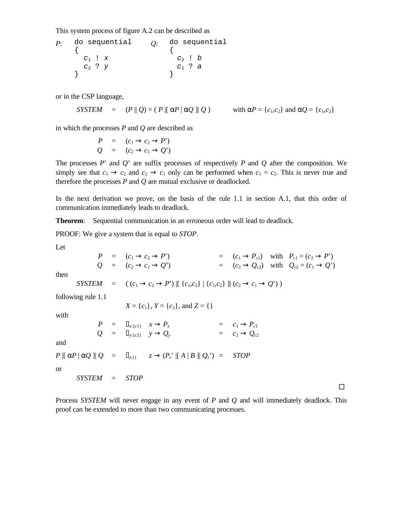This system process of figure A.2 can be described as

*P*: do sequential { *c*1 ! *x c*2 ? *y* } *Q*: do sequential { *c*2 ! *b c*1 ? *a* }

or in the CSP language,

*SYSTEM* =  $(P \parallel Q) = (P \parallel \alpha P \mid \alpha Q \parallel Q)$  with  $\alpha P = \{c_1, c_2\}$  and  $\alpha Q = \{c_1, c_2\}$ 

in which the processes *P* and *Q* are described as

$$
P = (c_1 \rightarrow c_2 \rightarrow P')
$$
  

$$
Q = (c_2 \rightarrow c_1 \rightarrow Q')
$$

The processes *P*' and *Q*' are suffix processes of respectively *P* and *Q* after the composition. We simply see that  $c_1 \rightarrow c_2$  and  $c_2 \rightarrow c_1$  only can be performed when  $c_1 = c_2$ . This is never true and therefore the processes *P* and *Q* are mutual exclusive or deadlocked.

In the next derivation we prove, on the basis of the rule 1.1 in section A.1, that this order of communication immediately leads to deadlock.

**Theorem**: Sequential communication in an erroneous order will lead to deadlock.

PROOF: We give a system that is equal to *STOP*.

Let

and

or

$$
P = (c_1 \rightarrow c_2 \rightarrow P') = (c_1 \rightarrow P_{c1}) \text{ with } P_{c1} = (c_2 \rightarrow P')
$$
  
\n
$$
Q = (c_2 \rightarrow c_1 \rightarrow Q') = (c_2 \rightarrow Q_{c2}) \text{ with } Q_{c2} = (c_1 \rightarrow Q')
$$
  
\nthen  
\n
$$
SYSTEM = ((c_1 \rightarrow c_2 \rightarrow P') | [ \{c_1, c_2\} | \{c_1, c_2\} ] | (c_2 \rightarrow c_1 \rightarrow Q'))
$$
  
\nfollowing rule 1.1  
\n
$$
X = \{c_1\}, Y = \{c_2\}, \text{ and } Z = \{\}
$$
  
\nwith  
\n
$$
P = x_{\{c\}} \quad x \rightarrow P_x = c_1 \rightarrow P_{c1}
$$
  
\n
$$
Q = y_{\{c2\}} \quad y \rightarrow Q_y = c_2 \rightarrow Q_{c2}
$$
  
\nand  
\n
$$
P | [\alpha P | \alpha Q] | Q = z_{\{1\}} \quad z \rightarrow (P_z' | [A | B] | Q_z') = STOP
$$
  
\nor  
\n
$$
SYSTEM = STOP
$$

Process *SYSTEM* will never engage in any event of *P* and *Q* and will immediately deadlock. This proof can be extended to more than two communicating processes.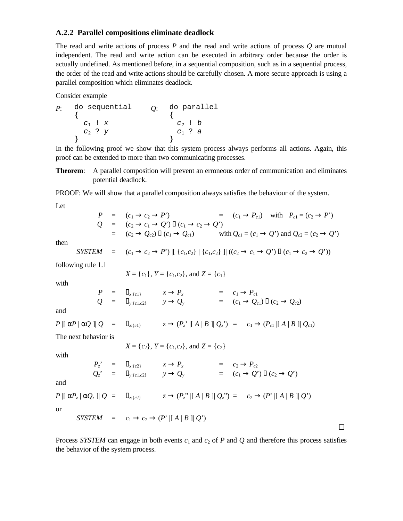### **A.2.2 Parallel compositions eliminate deadlock**

The read and write actions of process *P* and the read and write actions of process *Q* are mutual independent. The read and write action can be executed in arbitrary order because the order is actually undefined. As mentioned before, in a sequential composition, such as in a sequential process, the order of the read and write actions should be carefully chosen. A more secure approach is using a parallel composition which eliminates deadlock.

Consider example

*P*: do sequential { *c*1 ! *x c*2 ? *y* } *Q*: do parallel { *c*2 ! *b c*1 ? *a* }

In the following proof we show that this system process always performs all actions. Again, this proof can be extended to more than two communicating processes.

**Theorem**: A parallel composition will prevent an erroneous order of communication and eliminates potential deadlock.

PROOF: We will show that a parallel composition always satisfies the behaviour of the system.

Let

|  | $P = (c_1 \rightarrow c_2 \rightarrow P')$<br>$=$ $(c_1 \rightarrow P_{c1})$ with $P_{c1} = (c_2 \rightarrow P')$                     |
|--|---------------------------------------------------------------------------------------------------------------------------------------|
|  | $Q = (c_2 \rightarrow c_1 \rightarrow Q')$ $(c_1 \rightarrow c_2 \rightarrow Q')$                                                     |
|  | with $Q_{c1} = (c_1 \rightarrow Q')$ and $Q_{c2} = (c_2 \rightarrow Q')$<br>$=$ $(c_2 \rightarrow Q_{c2})$ $(c_1 \rightarrow Q_{c1})$ |

then

$$
SYSTEM = (c_1 \to c_2 \to P') [[ \{c_1, c_2\} || (c_1, c_2) || ((c_2 \to c_1 \to Q') (c_1 \to c_2 \to Q'))
$$

following rule 1.1

$$
X = \{c_1\}
$$
,  $Y = \{c_1, c_2\}$ , and  $Z = \{c_1\}$ 

W

with  
\n
$$
X = \{c_1\}, Y = \{c_1, c_2\}, \text{ and } Z = \{c_1\}
$$
\nwith  
\n
$$
P = \begin{cases}\nx_{\{c\}} \\
Q = \begin{cases}\nx_{\{c\}} \\
y_{\{c\}}\n\end{cases} & y \to Q_y\n\end{cases} = \begin{cases}\nc_1 \to P_{c1} \\
(c_1 \to Q_{c1})\n\end{cases} & (c_2 \to Q_{c2})
$$
\nand  
\n
$$
P \parallel \alpha P \parallel \alpha Q \parallel Q = \begin{cases}\nz_{\{c\}}\n\end{cases} & z \to (P_z^* \parallel A \parallel B \parallel Q_z^*) = \begin{cases}\nc_1 \to (P_{c1} \parallel A \parallel B \parallel Q_{c1})\n\end{cases}
$$
\nThe next behavior is  
\n
$$
X = \{c_2\}, Y = \{c_1, c_2\}, \text{ and } Z = \{c_2\}
$$
\nwith  
\n
$$
P_z^* = \begin{cases}\nx_{\{c\}} \\
Q_z^* = \begin{cases}\nx_{\{c\}}\n\end{cases} & x \to P_x = \begin{cases}\nc_2 \to P_{c2} \\
C_1 \to Q^* \end{cases} & (c_2 \to Q^*)\n\end{cases}
$$
\nand  
\n
$$
P \parallel \alpha P_z \parallel \alpha Q_z \parallel Q = \begin{cases}\nz_{\{c\}}\n\end{cases} & z \to (P_z^* \parallel A \parallel B \parallel Q_z^*) = \begin{cases}\nc_2 \to (P^* \parallel A \parallel B \parallel Q^*)\n\end{cases}
$$
\nor  
\n
$$
SYSTEM = c_1 \to c_2 \to (P^* \parallel A \parallel B \parallel Q^*)
$$

Process *SYSTEM* can engage in both events  $c_1$  and  $c_2$  of *P* and *Q* and therefore this process satisfies the behavior of the system process.

 $\Box$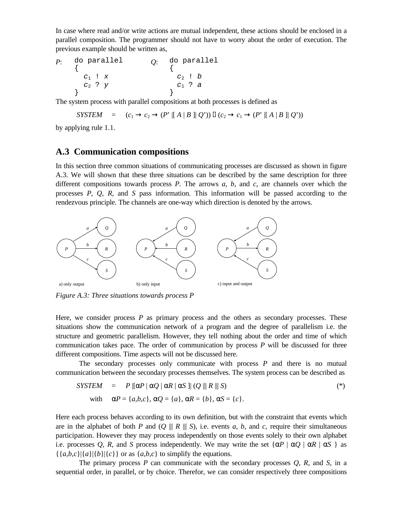In case where read and/or write actions are mutual independent, these actions should be enclosed in a parallel composition. The programmer should not have to worry about the order of execution. The previous example should be written as,

*P*: do parallel { *c*1 ! *x c*2 ? *y* } *Q*: do parallel { *c*2 ! *b c*1 ? *a* }

The system process with parallel compositions at both processes is defined as

$$
SYSTEM = (c_1 \rightarrow c_2 \rightarrow (P' \parallel A \mid B \parallel Q')) (c_2 \rightarrow c_1 \rightarrow (P' \parallel A \mid B \parallel Q'))
$$

by applying rule 1.1.

# **A.3 Communication compositions**

In this section three common situations of communicating processes are discussed as shown in figure A.3. We will shown that these three situations can be described by the same description for three different compositions towards process *P*. The arrows *a*, *b*, and *c*, are channels over which the processes *P*, *Q*, *R*, and *S* pass information. This information will be passed according to the rendezvous principle. The channels are one-way which direction is denoted by the arrows.



*Figure A.3: Three situations towards process P*

Here, we consider process *P* as primary process and the others as secondary processes. These situations show the communication network of a program and the degree of parallelism i.e. the structure and geometric parallelism. However, they tell nothing about the order and time of which communication takes pace. The order of communication by process *P* will be discussed for three different compositions. Time aspects will not be discussed here.

The secondary processes only communicate with process *P* and there is no mutual communication between the secondary processes themselves. The system process can be described as

$$
SYSTEM = P \left[ \alpha P \mid \alpha Q \mid \alpha R \mid \alpha S \right] \mid (Q \parallel\parallel R \parallel\parallel S) \tag{*}
$$

with 
$$
\alpha P = \{a,b,c\}, \alpha Q = \{a\}, \alpha R = \{b\}, \alpha S = \{c\}.
$$

Here each process behaves according to its own definition, but with the constraint that events which are in the alphabet of both *P* and  $(Q \parallel R \parallel S)$ , i.e. events *a*, *b*, and *c*, require their simultaneous participation. However they may process independently on those events solely to their own alphabet i.e. processes *Q*, *R*, and *S* process independently. We may write the set  $\{\alpha P \mid \alpha Q \mid \alpha R \mid \alpha S\}$  as  $\{\{a,b,c\}|\{a\}|\{b\}|\{c\}\}\$  or as  $\{a,b,c\}$  to simplify the equations.

The primary process *P* can communicate with the secondary processes *Q*, *R*, and *S*, in a sequential order, in parallel, or by choice. Therefor, we can consider respectively three compositions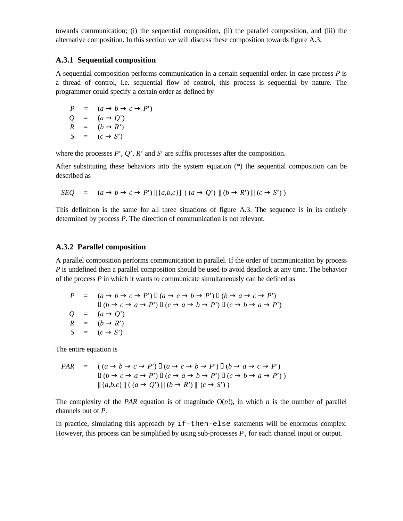towards communication; (i) the sequential composition, (ii) the parallel composition, and (iii) the alternative composition. In this section we will discuss these composition towards figure A.3.

#### **A.3.1 Sequential composition**

A sequential composition performs communication in a certain sequential order. In case process *P* is a thread of control, i.e. sequential flow of control, this process is sequential by nature. The programmer could specify a certain order as defined by

$$
P = (a \rightarrow b \rightarrow c \rightarrow P')
$$
  
\n
$$
Q = (a \rightarrow Q')
$$
  
\n
$$
R = (b \rightarrow R')
$$
  
\n
$$
S = (c \rightarrow S')
$$

where the processes *P*', *Q*', *R*' and *S*' are suffix processes after the composition.

After substituting these behaviors into the system equation (\*) the sequential composition can be described as

$$
SEQ = (a \rightarrow b \rightarrow c \rightarrow P') [[\{a,b,c\}]] ((a \rightarrow Q') || \{b \rightarrow R'\} || \{c \rightarrow S'\})
$$

This definition is the same for all three situations of figure A.3. The sequence is in its entirely determined by process *P*. The direction of communication is not relevant.

#### **A.3.2 Parallel composition**

A parallel composition performs communication in parallel. If the order of communication by process *P* is undefined then a parallel composition should be used to avoid deadlock at any time. The behavior of the process *P* in which it wants to communicate simultaneously can be defined as

$$
P = (a \rightarrow b \rightarrow c \rightarrow P') (a \rightarrow c \rightarrow b \rightarrow P') (b \rightarrow a \rightarrow c \rightarrow P')
$$
  
\n
$$
(b \rightarrow c \rightarrow a \rightarrow P') (c \rightarrow a \rightarrow b \rightarrow P') (c \rightarrow b \rightarrow a \rightarrow P')
$$
  
\n
$$
Q = (a \rightarrow Q')
$$
  
\n
$$
R = (b \rightarrow R')
$$
  
\n
$$
S = (c \rightarrow S')
$$

The entire equation is

$$
PAR = ((a \rightarrow b \rightarrow c \rightarrow P') (a \rightarrow c \rightarrow b \rightarrow P') (b \rightarrow a \rightarrow c \rightarrow P')
$$
  
\n
$$
(b \rightarrow c \rightarrow a \rightarrow P') (c \rightarrow a \rightarrow b \rightarrow P') (c \rightarrow b \rightarrow a \rightarrow P')
$$
  
\n
$$
[[{a,b,c}]] ((a \rightarrow Q') \parallel (b \rightarrow R') \parallel (c \rightarrow S'))
$$

The complexity of the *PAR* equation is of magnitude  $O(n!)$ , in which *n* is the number of parallel channels out of *P*.

In practice, simulating this approach by  $if$ -then-else statements will be enormous complex. However, this process can be simplified by using sub-processes  $P_i$ , for each channel input or output.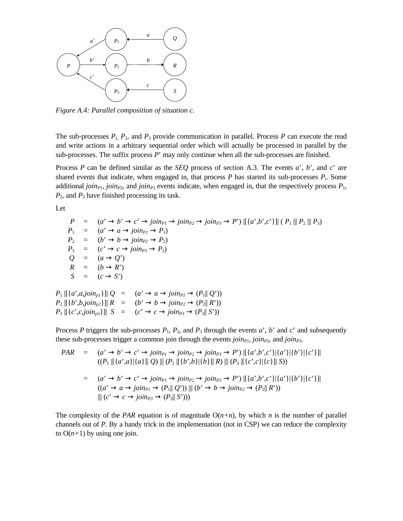

*Figure A.4: Parallel composition of situation c.*

The sub-processes  $P_1$ ,  $P_2$ , and  $P_3$  provide communication in parallel. Process  $P$  can execute the read and write actions in a arbitrary sequential order which will actually be processed in parallel by the sub-processes. The suffix process *P*' may only continue when all the sub-processes are finished.

Process *P* can be defined similar as the *SEQ* process of section A.3. The events *a*', *b*', and *c*' are shared events that indicate, when engaged in, that process  $P$  has started its sub-processes  $P_i$ . Some additional *join*<sub>*P1</sub>*, *join<sub>P2</sub>*, and *join*<sub>*P3*</sub> events indicate, when engaged in, that the respectively process  $P_1$ ,</sub> *P*2, and *P*3 have finished processing its task.

Let

 $P = (a' \rightarrow b' \rightarrow c' \rightarrow join_{P1} \rightarrow join_{P2} \rightarrow join_{P3} \rightarrow P') [[\{a',b',c'\}]] (P_1 || P_2 || P_3)$  $P_1 = (a' \rightarrow a \rightarrow join_{Pl} \rightarrow P_1)$  $P_2 = (b' \rightarrow b \rightarrow join_{P2} \rightarrow P_2)$  $P_3 = (c' \rightarrow c \rightarrow join_{P3} \rightarrow P_3)$  $Q = (a \rightarrow Q')$  $R = (b \rightarrow R')$  $S = (c \rightarrow S')$  $P_1$   $[(a', a, join_{p1})]$   $Q = (a' \rightarrow a \rightarrow join_{p1} \rightarrow (P_1 || Q'))$  $P_2$   $[(b', b, j \circ in_{p2})] | R = (b' \rightarrow b \rightarrow j \circ in_{p2} \rightarrow (P_2 | R'))$  $P_3$   $[ \{c', c, \text{join}_{n3} \} ] \mid S = (c' \rightarrow c \rightarrow \text{join}_{P3} \rightarrow (P_3 \mid S'))$ 

Process *P* triggers the sub-processes  $P_1$ ,  $P_2$ , and  $P_3$  through the events *a*', *b*' and *c*' and subsequently these sub-processes trigger a common join through the events *join<sup>P</sup>*1, *join<sup>P</sup>*2, and *join<sup>P</sup>*3.

$$
PAR = (a' \rightarrow b' \rightarrow c' \rightarrow join_{P1} \rightarrow join_{P2} \rightarrow join_{P3} \rightarrow P') [[\{a',b',c'\}][\{a'\}][\{b'\}][\{c'\}]]
$$
  

$$
((P_1 [[\{a',a\}][\{a\}]] \ Q) \parallel (P_2 [[\{b',b\}][\{b\}]] R) \parallel (P_3 [[\{c',c\}][\{c\}]] S))
$$
  

$$
= (a' \rightarrow b' \rightarrow c' \rightarrow join_{P1} \rightarrow join_{P2} \rightarrow join_{P3} \rightarrow P') [[\{a',b',c'\}][\{a'\}][\{b'\}][\{c'\}]]
$$
  

$$
((a' \rightarrow a \rightarrow join_{P1} \rightarrow (P_1 || Q')) \parallel (b' \rightarrow b \rightarrow join_{P2} \rightarrow (P_2 || R'))
$$
  

$$
|| (c' \rightarrow c \rightarrow join_{P3} \rightarrow (P_3 || S')))
$$

The complexity of the *PAR* equation is of magnitude  $O(n+n)$ , by which *n* is the number of parallel channels out of *P*. By a handy trick in the implementation (not in CSP) we can reduce the complexity to  $O(n+1)$  by using one join.